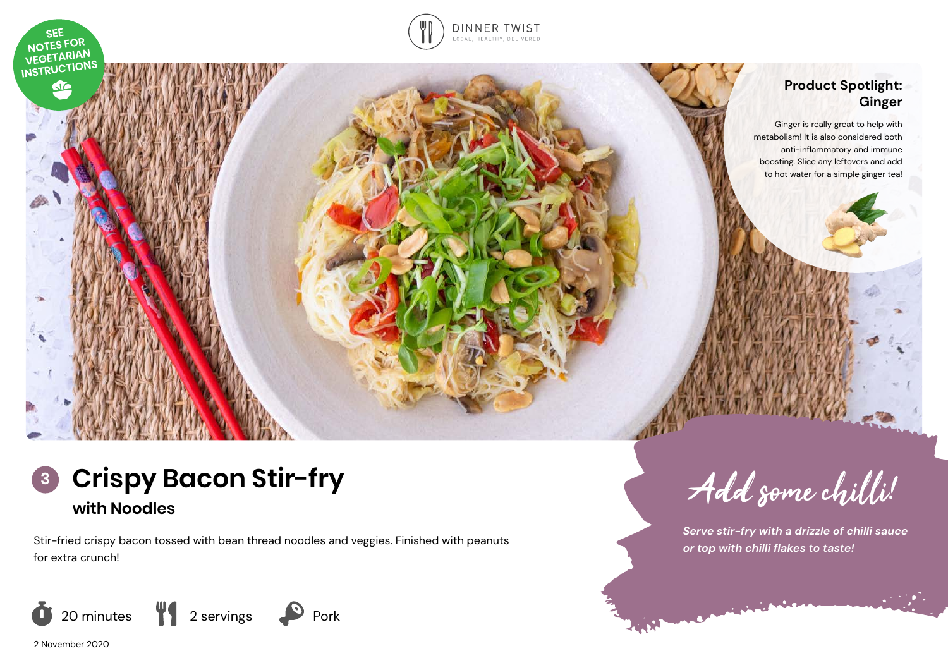

# **Product Spotlight: Ginger**

Ginger is really great to help with metabolism! It is also considered both anti-inflammatory and immune boosting. Slice any leftovers and add to hot water for a simple ginger tea!



Stir-fried crispy bacon tossed with bean thread noodles and veggies. Finished with peanuts for extra crunch!



2 November 2020

**SEE** 

NOTES FOR NOTES TON.<br>VEGETARIAN INSTRUCTIONS do

Add some chilli!

*Serve stir-fry with a drizzle of chilli sauce or top with chilli flakes to taste!*